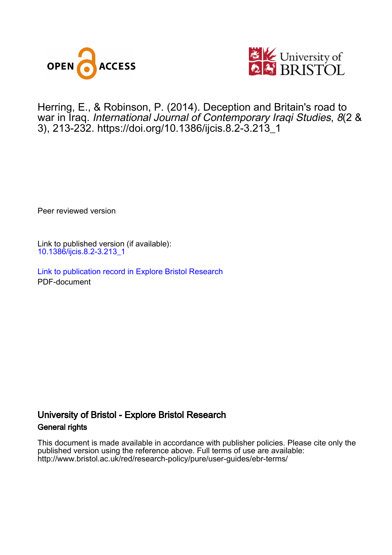



# Herring, E., & Robinson, P. (2014). Deception and Britain's road to war in Iraq. International Journal of Contemporary Iraqi Studies, 8(2 & 3), 213-232. [https://doi.org/10.1386/ijcis.8.2-3.213\\_1](https://doi.org/10.1386/ijcis.8.2-3.213_1)

Peer reviewed version

Link to published version (if available): [10.1386/ijcis.8.2-3.213\\_1](https://doi.org/10.1386/ijcis.8.2-3.213_1)

[Link to publication record in Explore Bristol Research](https://research-information.bris.ac.uk/en/publications/55c39ed5-e231-4ffb-bd8c-6ba3218ad709) PDF-document

# University of Bristol - Explore Bristol Research General rights

This document is made available in accordance with publisher policies. Please cite only the published version using the reference above. Full terms of use are available: http://www.bristol.ac.uk/red/research-policy/pure/user-guides/ebr-terms/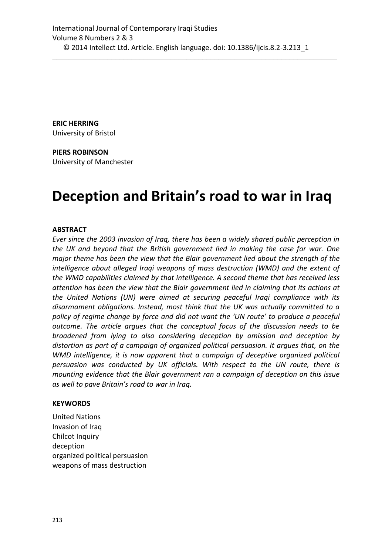\_\_\_\_\_\_\_\_\_\_\_\_\_\_\_\_\_\_\_\_\_\_\_\_\_\_\_\_\_\_\_\_\_\_\_\_\_\_\_\_\_\_\_\_\_\_\_\_\_\_\_\_\_\_\_\_\_\_\_\_\_\_\_\_\_\_\_\_\_\_\_\_

**ERIC HERRING** University of Bristol

#### **PIERS ROBINSON**

University of Manchester

# **Deception and Britain's road to war in Iraq**

#### **ABSTRACT**

*Ever since the 2003 invasion of Iraq, there has been a widely shared public perception in the UK and beyond that the British government lied in making the case for war. One major theme has been the view that the Blair government lied about the strength of the intelligence about alleged Iraqi weapons of mass destruction (WMD) and the extent of the WMD capabilities claimed by that intelligence. A second theme that has received less attention has been the view that the Blair government lied in claiming that its actions at the United Nations (UN) were aimed at securing peaceful Iraqi compliance with its disarmament obligations. Instead, most think that the UK was actually committed to a policy of regime change by force and did not want the 'UN route' to produce a peaceful outcome. The article argues that the conceptual focus of the discussion needs to be broadened from lying to also considering deception by omission and deception by distortion as part of a campaign of organized political persuasion. It argues that, on the WMD intelligence, it is now apparent that a campaign of deceptive organized political persuasion was conducted by UK officials. With respect to the UN route, there is mounting evidence that the Blair government ran a campaign of deception on this issue as well to pave Britain's road to war in Iraq.* 

#### **KEYWORDS**

United Nations Invasion of Iraq Chilcot Inquiry deception organized political persuasion weapons of mass destruction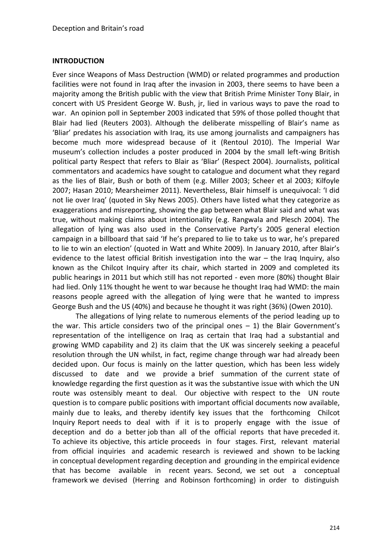#### **INTRODUCTION**

Ever since Weapons of Mass Destruction (WMD) or related programmes and production facilities were not found in Iraq after the invasion in 2003, there seems to have been a majority among the British public with the view that British Prime Minister Tony Blair, in concert with US President George W. Bush, jr, lied in various ways to pave the road to war. An opinion poll in September 2003 indicated that 59% of those polled thought that Blair had lied (Reuters 2003). Although the deliberate misspelling of Blair's name as 'Bliar' predates his association with Iraq, its use among journalists and campaigners has become much more widespread because of it (Rentoul 2010). The Imperial War museum's collection includes a poster produced in 2004 by the small left-wing British political party Respect that refers to Blair as 'Bliar' (Respect 2004). Journalists, political commentators and academics have sought to catalogue and document what they regard as the lies of Blair, Bush or both of them (e.g. Miller 2003; Scheer et al 2003; Kilfoyle 2007; Hasan 2010; Mearsheimer 2011). Nevertheless, Blair himself is unequivocal: 'I did not lie over Iraq' (quoted in Sky News 2005). Others have listed what they categorize as exaggerations and misreporting, showing the gap between what Blair said and what was true, without making claims about intentionality (e.g. Rangwala and Plesch 2004). The allegation of lying was also used in the Conservative Party's 2005 general election campaign in a billboard that said 'If he's prepared to lie to take us to war, he's prepared to lie to win an election' (quoted in Watt and White 2009). In January 2010, after Blair's evidence to the latest official British investigation into the war – the Iraq Inquiry, also known as the Chilcot Inquiry after its chair, which started in 2009 and completed its public hearings in 2011 but which still has not reported - even more (80%) thought Blair had lied. Only 11% thought he went to war because he thought Iraq had WMD: the main reasons people agreed with the allegation of lying were that he wanted to impress George Bush and the US (40%) and because he thought it was right (36%) (Owen 2010).

The allegations of lying relate to numerous elements of the period leading up to the war. This article considers two of the principal ones  $-1$ ) the Blair Government's representation of the intelligence on Iraq as certain that Iraq had a substantial and growing WMD capability and 2) its claim that the UK was sincerely seeking a peaceful resolution through the UN whilst, in fact, regime change through war had already been decided upon. Our focus is mainly on the latter question, which has been less widely discussed to date and we provide a brief summation of the current state of knowledge regarding the first question as it was the substantive issue with which the UN route was ostensibly meant to deal. Our objective with respect to the UN route question is to compare public positions with important official documents now available, mainly due to leaks, and thereby identify key issues that the forthcoming Chilcot Inquiry Report needs to deal with if it is to properly engage with the issue of deception and do a better job than all of the official reports that have preceded it. To achieve its objective, this article proceeds in four stages. First, relevant material from official inquiries and academic research is reviewed and shown to be lacking in conceptual development regarding deception and grounding in the empirical evidence that has become available in recent years. Second, we set out a conceptual framework we devised (Herring and Robinson forthcoming) in order to distinguish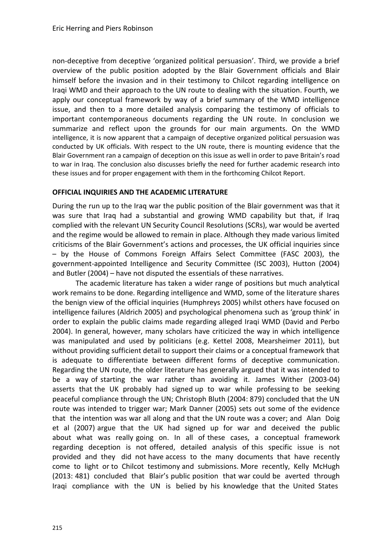non-deceptive from deceptive 'organized political persuasion'. Third, we provide a brief overview of the public position adopted by the Blair Government officials and Blair himself before the invasion and in their testimony to Chilcot regarding intelligence on Iraqi WMD and their approach to the UN route to dealing with the situation. Fourth, we apply our conceptual framework by way of a brief summary of the WMD intelligence issue, and then to a more detailed analysis comparing the testimony of officials to important contemporaneous documents regarding the UN route. In conclusion we summarize and reflect upon the grounds for our main arguments. On the WMD intelligence, it is now apparent that a campaign of deceptive organized political persuasion was conducted by UK officials. With respect to the UN route, there is mounting evidence that the Blair Government ran a campaign of deception on this issue as well in order to pave Britain's road to war in Iraq. The conclusion also discusses briefly the need for further academic research into these issues and for proper engagement with them in the forthcoming Chilcot Report.

#### **OFFICIAL INQUIRIES AND THE ACADEMIC LITERATURE**

During the run up to the Iraq war the public position of the Blair government was that it was sure that Iraq had a substantial and growing WMD capability but that, if Iraq complied with the relevant UN Security Council Resolutions (SCRs), war would be averted and the regime would be allowed to remain in place. Although they made various limited criticisms of the Blair Government's actions and processes, the UK official inquiries since – by the House of Commons Foreign Affairs Select Committee (FASC 2003), the government-appointed Intelligence and Security Committee (ISC 2003), Hutton (2004) and Butler (2004) – have not disputed the essentials of these narratives.

The academic literature has taken a wider range of positions but much analytical work remains to be done. Regarding intelligence and WMD, some of the literature shares the benign view of the official inquiries (Humphreys 2005) whilst others have focused on intelligence failures (Aldrich 2005) and psychological phenomena such as 'group think' in order to explain the public claims made regarding alleged Iraqi WMD (David and Perbo 2004). In general, however, many scholars have criticized the way in which intelligence was manipulated and used by politicians (e.g. Kettel 2008, Mearsheimer 2011), but without providing sufficient detail to support their claims or a conceptual framework that is adequate to differentiate between different forms of deceptive communication. Regarding the UN route, the older literature has generally argued that it was intended to be a way of starting the war rather than avoiding it. James Wither (2003-04) asserts that the UK probably had signed up to war while professing to be seeking peaceful compliance through the UN; Christoph Bluth (2004: 879) concluded that the UN route was intended to trigger war; Mark Danner (2005) sets out some of the evidence that the intention was war all along and that the UN route was a cover; and Alan Doig et al (2007) argue that the UK had signed up for war and deceived the public about what was really going on. In all of these cases, a conceptual framework regarding deception is not offered, detailed analysis of this specific issue is not provided and they did not have access to the many documents that have recently come to light or to Chilcot testimony and submissions. More recently, Kelly McHugh (2013: 481) concluded that Blair's public position that war could be averted through Iraqi compliance with the UN is belied by his knowledge that the United States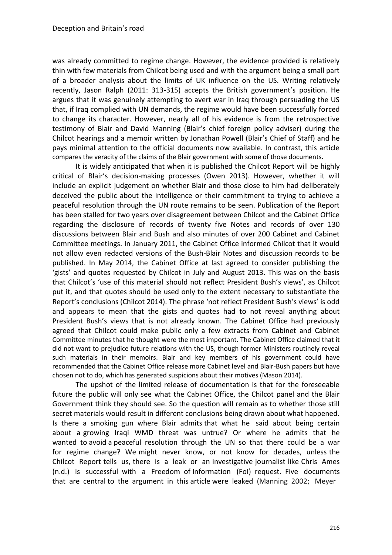was already committed to regime change. However, the evidence provided is relatively thin with few materials from Chilcot being used and with the argument being a small part of a broader analysis about the limits of UK influence on the US. Writing relatively recently, Jason Ralph (2011: 313-315) accepts the British government's position. He argues that it was genuinely attempting to avert war in Iraq through persuading the US that, if Iraq complied with UN demands, the regime would have been successfully forced to change its character. However, nearly all of his evidence is from the retrospective testimony of Blair and David Manning (Blair's chief foreign policy adviser) during the Chilcot hearings and a memoir written by Jonathan Powell (Blair's Chief of Staff) and he pays minimal attention to the official documents now available. In contrast, this article compares the veracity of the claims of the Blair government with some of those documents.

It is widely anticipated that when it is published the Chilcot Report will be highly critical of Blair's decision-making processes (Owen 2013). However, whether it will include an explicit judgement on whether Blair and those close to him had deliberately deceived the public about the intelligence or their commitment to trying to achieve a peaceful resolution through the UN route remains to be seen. Publication of the Report has been stalled for two years over disagreement between Chilcot and the Cabinet Office regarding the disclosure of records of twenty five Notes and records of over 130 discussions between Blair and Bush and also minutes of over 200 Cabinet and Cabinet Committee meetings. In January 2011, the Cabinet Office informed Chilcot that it would not allow even redacted versions of the Bush-Blair Notes and discussion records to be published. In May 2014, the Cabinet Office at last agreed to consider publishing the 'gists' and quotes requested by Chilcot in July and August 2013. This was on the basis that Chilcot's 'use of this material should not reflect President Bush's views', as Chilcot put it, and that quotes should be used only to the extent necessary to substantiate the Report's conclusions (Chilcot 2014). The phrase 'not reflect President Bush's views' is odd and appears to mean that the gists and quotes had to not reveal anything about President Bush's views that is not already known. The Cabinet Office had previously agreed that Chilcot could make public only a few extracts from Cabinet and Cabinet Committee minutes that he thought were the most important. The Cabinet Office claimed that it did not want to prejudice future relations with the US, though former Ministers routinely reveal such materials in their memoirs. Blair and key members of his government could have recommended that the Cabinet Office release more Cabinet level and Blair-Bush papers but have chosen not to do, which has generated suspicions about their motives (Mason 2014).

The upshot of the limited release of documentation is that for the foreseeable future the public will only see what the Cabinet Office, the Chilcot panel and the Blair Government think they should see. So the question will remain as to whether those still secret materials would result in different conclusions being drawn about what happened. Is there a smoking gun where Blair admits that what he said about being certain about a growing Iraqi WMD threat was untrue? Or where he admits that he wanted to avoid a peaceful resolution through the UN so that there could be a war for regime change? We might never know, or not know for decades, unless the Chilcot Report tells us, there is a leak or an investigative journalist like Chris Ames (n.d.) is successful with a Freedom of Information (FoI) request. Five documents that are central to the argument in this article were leaked (Manning 2002; Meyer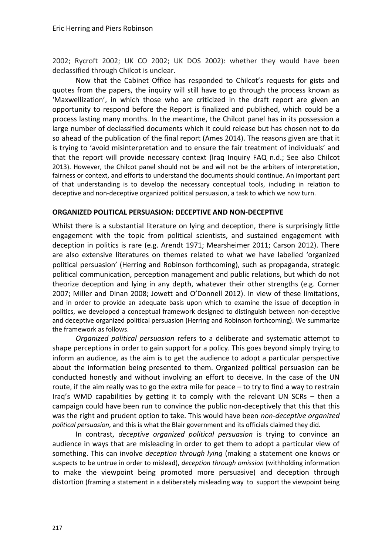2002; Rycroft 2002; UK CO 2002; UK DOS 2002): whether they would have been declassified through Chilcot is unclear.

Now that the Cabinet Office has responded to Chilcot's requests for gists and quotes from the papers, the inquiry will still have to go through the process known as 'Maxwellization', in which those who are criticized in the draft report are given an opportunity to respond before the Report is finalized and published, which could be a process lasting many months. In the meantime, the Chilcot panel has in its possession a large number of declassified documents which it could release but has chosen not to do so ahead of the publication of the final report (Ames 2014). The reasons given are that it is trying to 'avoid misinterpretation and to ensure the fair treatment of individuals' and that the report will provide necessary context (Iraq Inquiry FAQ n.d.; See also Chilcot 2013). However, the Chilcot panel should not be and will not be the arbiters of interpretation, fairness or context, and efforts to understand the documents should continue. An important part of that understanding is to develop the necessary conceptual tools, including in relation to deceptive and non-deceptive organized political persuasion, a task to which we now turn.

#### **ORGANIZED POLITICAL PERSUASION: DECEPTIVE AND NON-DECEPTIVE**

Whilst there is a substantial literature on lying and deception, there is surprisingly little engagement with the topic from political scientists, and sustained engagement with deception in politics is rare (e.g. Arendt 1971; Mearsheimer 2011; Carson 2012). There are also extensive literatures on themes related to what we have labelled 'organized political persuasion' (Herring and Robinson forthcoming), such as propaganda, strategic political communication, perception management and public relations, but which do not theorize deception and lying in any depth, whatever their other strengths (e.g. Corner 2007; Miller and Dinan 2008; Jowett and O'Donnell 2012). In view of these limitations, and in order to provide an adequate basis upon which to examine the issue of deception in politics, we developed a conceptual framework designed to distinguish between non-deceptive and deceptive organized political persuasion (Herring and Robinson forthcoming). We summarize the framework as follows.

*Organized political persuasion* refers to a deliberate and systematic attempt to shape perceptions in order to gain support for a policy. This goes beyond simply trying to inform an audience, as the aim is to get the audience to adopt a particular perspective about the information being presented to them. Organized political persuasion can be conducted honestly and without involving an effort to deceive. In the case of the UN route, if the aim really was to go the extra mile for peace – to try to find a way to restrain Iraq's WMD capabilities by getting it to comply with the relevant UN SCRs – then a campaign could have been run to convince the public non-deceptively that this that this was the right and prudent option to take. This would have been *non-deceptive organized political persuasion*, and this is what the Blair government and its officials claimed they did.

In contrast, *deceptive organized political persuasion* is trying to convince an audience in ways that are misleading in order to get them to adopt a particular view of something. This can involve *deception through lying* (making a statement one knows or suspects to be untrue in order to mislead), *deception through omission* (withholding information to make the viewpoint being promoted more persuasive) and deception through distortion (framing a statement in a deliberately misleading way to support the viewpoint being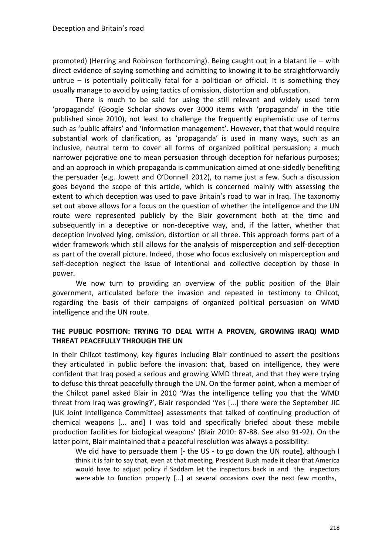promoted) (Herring and Robinson forthcoming). Being caught out in a blatant lie – with direct evidence of saying something and admitting to knowing it to be straightforwardly untrue  $-$  is potentially politically fatal for a politician or official. It is something they usually manage to avoid by using tactics of omission, distortion and obfuscation.

There is much to be said for using the still relevant and widely used term 'propaganda' (Google Scholar shows over 3000 items with 'propaganda' in the title published since 2010), not least to challenge the frequently euphemistic use of terms such as 'public affairs' and 'information management'. However, that that would require substantial work of clarification, as 'propaganda' is used in many ways, such as an inclusive, neutral term to cover all forms of organized political persuasion; a much narrower pejorative one to mean persuasion through deception for nefarious purposes; and an approach in which propaganda is communication aimed at one-sidedly benefiting the persuader (e.g. Jowett and O'Donnell 2012), to name just a few. Such a discussion goes beyond the scope of this article, which is concerned mainly with assessing the extent to which deception was used to pave Britain's road to war in Iraq. The taxonomy set out above allows for a focus on the question of whether the intelligence and the UN route were represented publicly by the Blair government both at the time and subsequently in a deceptive or non-deceptive way, and, if the latter, whether that deception involved lying, omission, distortion or all three. This approach forms part of a wider framework which still allows for the analysis of misperception and self-deception as part of the overall picture. Indeed, those who focus exclusively on misperception and self-deception neglect the issue of intentional and collective deception by those in power.

We now turn to providing an overview of the public position of the Blair government, articulated before the invasion and repeated in testimony to Chilcot, regarding the basis of their campaigns of organized political persuasion on WMD intelligence and the UN route.

#### **THE PUBLIC POSITION: TRYING TO DEAL WITH A PROVEN, GROWING IRAQI WMD THREAT PEACEFULLY THROUGH THE UN**

In their Chilcot testimony, key figures including Blair continued to assert the positions they articulated in public before the invasion: that, based on intelligence, they were confident that Iraq posed a serious and growing WMD threat, and that they were trying to defuse this threat peacefully through the UN. On the former point, when a member of the Chilcot panel asked Blair in 2010 'Was the intelligence telling you that the WMD threat from Iraq was growing?', Blair responded 'Yes [...] there were the September JIC [UK Joint Intelligence Committee] assessments that talked of continuing production of chemical weapons [... and] I was told and specifically briefed about these mobile production facilities for biological weapons' (Blair 2010: 87-88. See also 91-92). On the latter point, Blair maintained that a peaceful resolution was always a possibility:

We did have to persuade them [- the US - to go down the UN route], although I think it is fair to say that, even at that meeting, President Bush made it clear that America would have to adjust policy if Saddam let the inspectors back in and the inspectors were able to function properly [...] at several occasions over the next few months,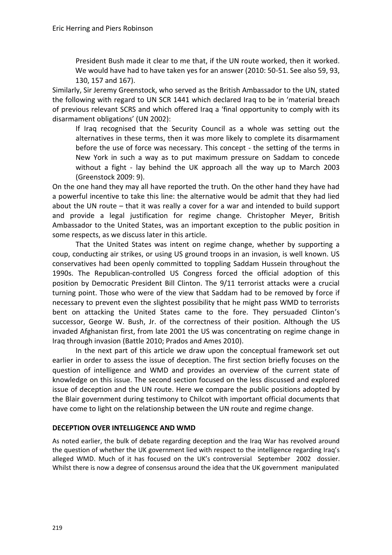President Bush made it clear to me that, if the UN route worked, then it worked. We would have had to have taken yes for an answer (2010: 50-51. See also 59, 93, 130, 157 and 167).

Similarly, Sir Jeremy Greenstock, who served as the British Ambassador to the UN, stated the following with regard to UN SCR 1441 which declared Iraq to be in 'material breach of previous relevant SCRS and which offered Iraq a 'final opportunity to comply with its disarmament obligations' (UN 2002):

If Iraq recognised that the Security Council as a whole was setting out the alternatives in these terms, then it was more likely to complete its disarmament before the use of force was necessary. This concept - the setting of the terms in New York in such a way as to put maximum pressure on Saddam to concede without a fight - lay behind the UK approach all the way up to March 2003 (Greenstock 2009: 9).

On the one hand they may all have reported the truth. On the other hand they have had a powerful incentive to take this line: the alternative would be admit that they had lied about the UN route – that it was really a cover for a war and intended to build support and provide a legal justification for regime change. Christopher Meyer, British Ambassador to the United States, was an important exception to the public position in some respects, as we discuss later in this article.

That the United States was intent on regime change, whether by supporting a coup, conducting air strikes, or using US ground troops in an invasion, is well known. US conservatives had been openly committed to toppling Saddam Hussein throughout the 1990s. The Republican-controlled US Congress forced the official adoption of this position by Democratic President Bill Clinton. The 9/11 terrorist attacks were a crucial turning point. Those who were of the view that Saddam had to be removed by force if necessary to prevent even the slightest possibility that he might pass WMD to terrorists bent on attacking the United States came to the fore. They persuaded Clinton's successor, George W. Bush, Jr. of the correctness of their position. Although the US invaded Afghanistan first, from late 2001 the US was concentrating on regime change in Iraq through invasion (Battle 2010; Prados and Ames 2010).

In the next part of this article we draw upon the conceptual framework set out earlier in order to assess the issue of deception. The first section briefly focuses on the question of intelligence and WMD and provides an overview of the current state of knowledge on this issue. The second section focused on the less discussed and explored issue of deception and the UN route. Here we compare the public positions adopted by the Blair government during testimony to Chilcot with important official documents that have come to light on the relationship between the UN route and regime change.

# **DECEPTION OVER INTELLIGENCE AND WMD**

As noted earlier, the bulk of debate regarding deception and the Iraq War has revolved around the question of whether the UK government lied with respect to the intelligence regarding Iraq's alleged WMD. Much of it has focused on the UK's controversial September 2002 dossier. Whilst there is now a degree of consensus around the idea that the UK government manipulated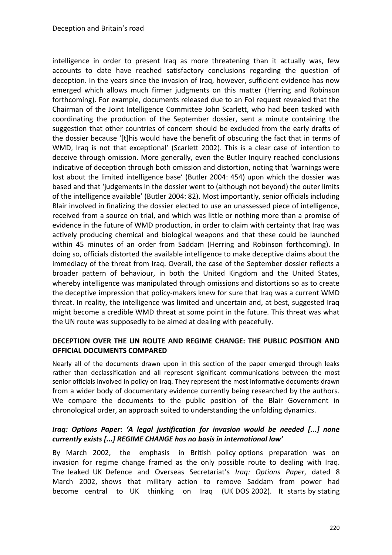intelligence in order to present Iraq as more threatening than it actually was, few accounts to date have reached satisfactory conclusions regarding the question of deception. In the years since the invasion of Iraq, however, sufficient evidence has now emerged which allows much firmer judgments on this matter (Herring and Robinson forthcoming). For example, documents released due to an FoI request revealed that the Chairman of the Joint Intelligence Committee John Scarlett, who had been tasked with coordinating the production of the September dossier, sent a minute containing the suggestion that other countries of concern should be excluded from the early drafts of the dossier because '[t]his would have the benefit of obscuring the fact that in terms of WMD, Iraq is not that exceptional' (Scarlett 2002). This is a clear case of intention to deceive through omission. More generally, even the Butler Inquiry reached conclusions indicative of deception through both omission and distortion, noting that 'warnings were lost about the limited intelligence base' (Butler 2004: 454) upon which the dossier was based and that 'judgements in the dossier went to (although not beyond) the outer limits of the intelligence available' (Butler 2004: 82). Most importantly, senior officials including Blair involved in finalizing the dossier elected to use an unassessed piece of intelligence, received from a source on trial, and which was little or nothing more than a promise of evidence in the future of WMD production, in order to claim with certainty that Iraq was actively producing chemical and biological weapons and that these could be launched within 45 minutes of an order from Saddam (Herring and Robinson forthcoming). In doing so, officials distorted the available intelligence to make deceptive claims about the immediacy of the threat from Iraq. Overall, the case of the September dossier reflects a broader pattern of behaviour, in both the United Kingdom and the United States, whereby intelligence was manipulated through omissions and distortions so as to create the deceptive impression that policy-makers knew for sure that Iraq was a current WMD threat. In reality, the intelligence was limited and uncertain and, at best, suggested Iraq might become a credible WMD threat at some point in the future. This threat was what the UN route was supposedly to be aimed at dealing with peacefully.

# **DECEPTION OVER THE UN ROUTE AND REGIME CHANGE: THE PUBLIC POSITION AND OFFICIAL DOCUMENTS COMPARED**

Nearly all of the documents drawn upon in this section of the paper emerged through leaks rather than declassification and all represent significant communications between the most senior officials involved in policy on Iraq. They represent the most informative documents drawn from a wider body of documentary evidence currently being researched by the authors. We compare the documents to the public position of the Blair Government in chronological order, an approach suited to understanding the unfolding dynamics.

# *Iraq: Options Paper***:** *'A legal justification for invasion would be needed [...] none currently exists [...] REGIME CHANGE has no basis in international law'*

By March 2002, the emphasis in British policy options preparation was on invasion for regime change framed as the only possible route to dealing with Iraq. The leaked UK Defence and Overseas Secretariat's *Iraq: Options Paper*, dated 8 March 2002, shows that military action to remove Saddam from power had become central to UK thinking on Iraq (UK DOS 2002). It starts by stating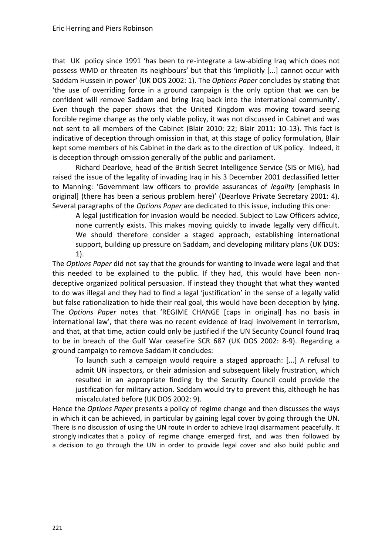that UK policy since 1991 'has been to re-integrate a law-abiding Iraq which does not possess WMD or threaten its neighbours' but that this 'implicitly [...] cannot occur with Saddam Hussein in power' (UK DOS 2002: 1). The *Options Paper* concludes by stating that 'the use of overriding force in a ground campaign is the only option that we can be confident will remove Saddam and bring Iraq back into the international community'. Even though the paper shows that the United Kingdom was moving toward seeing forcible regime change as the only viable policy, it was not discussed in Cabinet and was not sent to all members of the Cabinet (Blair 2010: 22; Blair 2011: 10-13). This fact is indicative of deception through omission in that, at this stage of policy formulation, Blair kept some members of his Cabinet in the dark as to the direction of UK policy. Indeed, it is deception through omission generally of the public and parliament.

Richard Dearlove, head of the British Secret Intelligence Service (SIS or MI6), had raised the issue of the legality of invading Iraq in his 3 December 2001 declassified letter to Manning: 'Government law officers to provide assurances of *legality* [emphasis in original] (there has been a serious problem here)' (Dearlove Private Secretary 2001: 4). Several paragraphs of the *Options Paper* are dedicated to this issue, including this one:

A legal justification for invasion would be needed. Subject to Law Officers advice, none currently exists. This makes moving quickly to invade legally very difficult. We should therefore consider a staged approach, establishing international support, building up pressure on Saddam, and developing military plans (UK DOS: 1).

The *Options Paper* did not say that the grounds for wanting to invade were legal and that this needed to be explained to the public. If they had, this would have been nondeceptive organized political persuasion. If instead they thought that what they wanted to do was illegal and they had to find a legal 'justification' in the sense of a legally valid but false rationalization to hide their real goal, this would have been deception by lying. The *Options Paper* notes that 'REGIME CHANGE [caps in original] has no basis in international law', that there was no recent evidence of Iraqi involvement in terrorism, and that, at that time, action could only be justified if the UN Security Council found Iraq to be in breach of the Gulf War ceasefire SCR 687 (UK DOS 2002: 8-9). Regarding a ground campaign to remove Saddam it concludes:

To launch such a campaign would require a staged approach: [...] A refusal to admit UN inspectors, or their admission and subsequent likely frustration, which resulted in an appropriate finding by the Security Council could provide the justification for military action. Saddam would try to prevent this, although he has miscalculated before (UK DOS 2002: 9).

Hence the *Options Paper* presents a policy of regime change and then discusses the ways in which it can be achieved, in particular by gaining legal cover by going through the UN. There is no discussion of using the UN route in order to achieve Iraqi disarmament peacefully. It strongly indicates that a policy of regime change emerged first, and was then followed by a decision to go through the UN in order to provide legal cover and also build public and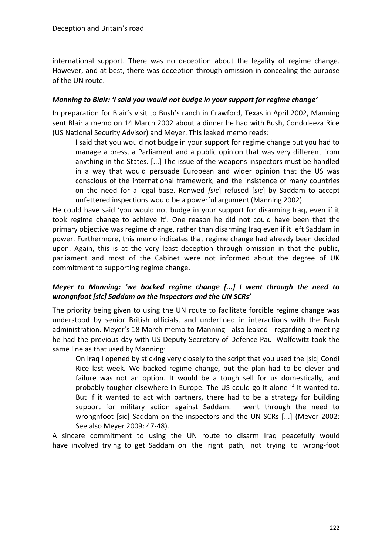international support. There was no deception about the legality of regime change. However, and at best, there was deception through omission in concealing the purpose of the UN route.

#### *Manning to Blair: 'I said you would not budge in your support for regime change'*

In preparation for Blair's visit to Bush's ranch in Crawford, Texas in April 2002, Manning sent Blair a memo on 14 March 2002 about a dinner he had with Bush, Condoleeza Rice (US National Security Advisor) and Meyer. This leaked memo reads:

I said that you would not budge in your support for regime change but you had to manage a press, a Parliament and a public opinion that was very different from anything in the States. [...] The issue of the weapons inspectors must be handled in a way that would persuade European and wider opinion that the US was conscious of the international framework, and the insistence of many countries on the need for a legal base. Renwed *[sic*] refused [*sic*] by Saddam to accept unfettered inspections would be a powerful argument (Manning 2002).

He could have said 'you would not budge in your support for disarming Iraq, even if it took regime change to achieve it'. One reason he did not could have been that the primary objective was regime change, rather than disarming Iraq even if it left Saddam in power. Furthermore, this memo indicates that regime change had already been decided upon. Again, this is at the very least deception through omission in that the public, parliament and most of the Cabinet were not informed about the degree of UK commitment to supporting regime change.

# *Meyer to Manning: 'we backed regime change [...] I went through the need to wrongnfoot [sic] Saddam on the inspectors and the UN SCRs'*

The priority being given to using the UN route to facilitate forcible regime change was understood by senior British officials, and underlined in interactions with the Bush administration. Meyer's 18 March memo to Manning - also leaked - regarding a meeting he had the previous day with US Deputy Secretary of Defence Paul Wolfowitz took the same line as that used by Manning:

On Iraq I opened by sticking very closely to the script that you used the [sic] Condi Rice last week. We backed regime change, but the plan had to be clever and failure was not an option. It would be a tough sell for us domestically, and probably tougher elsewhere in Europe. The US could go it alone if it wanted to. But if it wanted to act with partners, there had to be a strategy for building support for military action against Saddam. I went through the need to wrongnfoot [sic] Saddam on the inspectors and the UN SCRs [...] (Meyer 2002: See also Meyer 2009: 47-48).

A sincere commitment to using the UN route to disarm Iraq peacefully would have involved trying to get Saddam on the right path, not trying to wrong-foot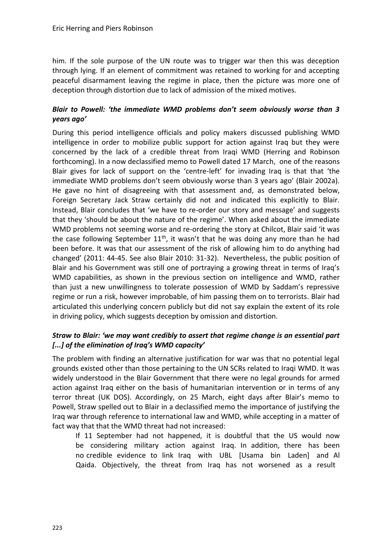him. If the sole purpose of the UN route was to trigger war then this was deception through lying. If an element of commitment was retained to working for and accepting peaceful disarmament leaving the regime in place, then the picture was more one of deception through distortion due to lack of admission of the mixed motives.

# *Blair to Powell: 'the immediate WMD problems don't seem obviously worse than 3 years ago'*

During this period intelligence officials and policy makers discussed publishing WMD intelligence in order to mobilize public support for action against Iraq but they were concerned by the lack of a credible threat from Iraqi WMD (Herring and Robinson forthcoming). In a now declassified memo to Powell dated 17 March, one of the reasons Blair gives for lack of support on the 'centre-left' for invading Iraq is that that 'the immediate WMD problems don't seem obviously worse than 3 years ago' (Blair 2002a). He gave no hint of disagreeing with that assessment and, as demonstrated below, Foreign Secretary Jack Straw certainly did not and indicated this explicitly to Blair. Instead, Blair concludes that 'we have to re-order our story and message' and suggests that they 'should be about the nature of the regime'. When asked about the immediate WMD problems not seeming worse and re-ordering the story at Chilcot, Blair said 'it was the case following September  $11<sup>th</sup>$ , it wasn't that he was doing any more than he had been before. It was that our assessment of the risk of allowing him to do anything had changed' (2011: 44-45. See also Blair 2010: 31-32). Nevertheless, the public position of Blair and his Government was still one of portraying a growing threat in terms of Iraq's WMD capabilities, as shown in the previous section on intelligence and WMD, rather than just a new unwillingness to tolerate possession of WMD by Saddam's repressive regime or run a risk, however improbable, of him passing them on to terrorists. Blair had articulated this underlying concern publicly but did not say explain the extent of its role in driving policy, which suggests deception by omission and distortion.

# *Straw to Blair: 'we may want credibly to assert that regime change is an essential part [...] of the elimination of Iraq's WMD capacity'*

The problem with finding an alternative justification for war was that no potential legal grounds existed other than those pertaining to the UN SCRs related to Iraqi WMD. It was widely understood in the Blair Government that there were no legal grounds for armed action against Iraq either on the basis of humanitarian intervention or in terms of any terror threat (UK DOS). Accordingly, on 25 March, eight days after Blair's memo to Powell, Straw spelled out to Blair in a declassified memo the importance of justifying the Iraq war through reference to international law and WMD, while accepting in a matter of fact way that that the WMD threat had not increased:

If 11 September had not happened, it is doubtful that the US would now be considering military action against Iraq. In addition, there has been no credible evidence to link Iraq with UBL [Usama bin Laden] and Al Qaida. Objectively, the threat from Iraq has not worsened as a result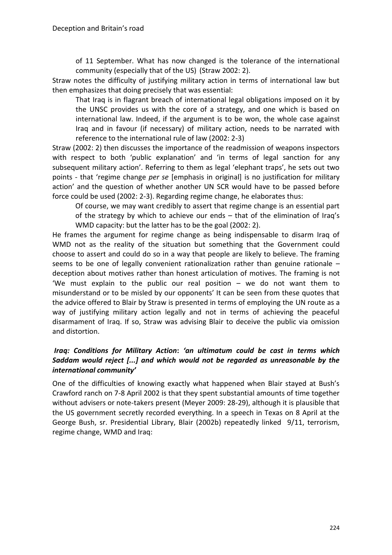of 11 September. What has now changed is the tolerance of the international community (especially that of the US) (Straw 2002: 2).

Straw notes the difficulty of justifying military action in terms of international law but then emphasizes that doing precisely that was essential:

That Iraq is in flagrant breach of international legal obligations imposed on it by the UNSC provides us with the core of a strategy, and one which is based on international law. Indeed, if the argument is to be won, the whole case against Iraq and in favour (if necessary) of military action, needs to be narrated with reference to the international rule of law (2002: 2-3)

Straw (2002: 2) then discusses the importance of the readmission of weapons inspectors with respect to both 'public explanation' and 'in terms of legal sanction for any subsequent military action'. Referring to them as legal 'elephant traps', he sets out two points - that 'regime change *per se* [emphasis in original] is no justification for military action' and the question of whether another UN SCR would have to be passed before force could be used (2002: 2-3). Regarding regime change, he elaborates thus:

Of course, we may want credibly to assert that regime change is an essential part of the strategy by which to achieve our ends – that of the elimination of Iraq's WMD capacity: but the latter has to be the goal (2002: 2).

He frames the argument for regime change as being indispensable to disarm Iraq of WMD not as the reality of the situation but something that the Government could choose to assert and could do so in a way that people are likely to believe. The framing seems to be one of legally convenient rationalization rather than genuine rationale – deception about motives rather than honest articulation of motives. The framing is not 'We must explain to the public our real position – we do not want them to misunderstand or to be misled by our opponents' It can be seen from these quotes that the advice offered to Blair by Straw is presented in terms of employing the UN route as a way of justifying military action legally and not in terms of achieving the peaceful disarmament of Iraq. If so, Straw was advising Blair to deceive the public via omission and distortion.

# *Iraq: Conditions for Military Action***:** *'an ultimatum could be cast in terms which Saddam would reject [...] and which would not be regarded as unreasonable by the international community'*

One of the difficulties of knowing exactly what happened when Blair stayed at Bush's Crawford ranch on 7-8 April 2002 is that they spent substantial amounts of time together without advisers or note-takers present (Meyer 2009: 28-29), although it is plausible that the US government secretly recorded everything. In a speech in Texas on 8 April at the George Bush, sr. Presidential Library, Blair (2002b) repeatedly linked 9/11, terrorism, regime change, WMD and Iraq: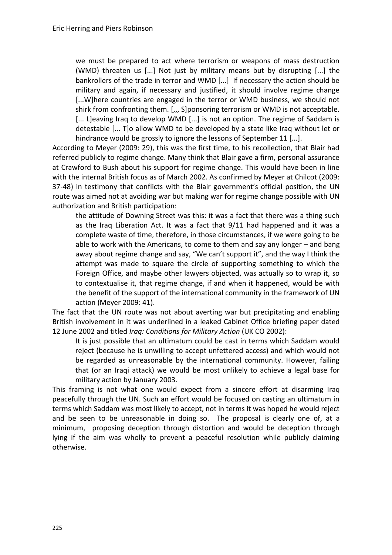we must be prepared to act where terrorism or weapons of mass destruction (WMD) threaten us [...] Not just by military means but by disrupting [...] the bankrollers of the trade in terror and WMD [...] If necessary the action should be military and again, if necessary and justified, it should involve regime change [...W]here countries are engaged in the terror or WMD business, we should not shirk from confronting them. [,,, S]ponsoring terrorism or WMD is not acceptable. [... L]eaving Iraq to develop WMD [...] is not an option. The regime of Saddam is detestable [... T]o allow WMD to be developed by a state like Iraq without let or hindrance would be grossly to ignore the lessons of September 11 [...].

According to Meyer (2009: 29), this was the first time, to his recollection, that Blair had referred publicly to regime change. Many think that Blair gave a firm, personal assurance at Crawford to Bush about his support for regime change. This would have been in line with the internal British focus as of March 2002. As confirmed by Meyer at Chilcot (2009: 37-48) in testimony that conflicts with the Blair government's official position, the UN route was aimed not at avoiding war but making war for regime change possible with UN authorization and British participation:

the attitude of Downing Street was this: it was a fact that there was a thing such as the Iraq Liberation Act. It was a fact that 9/11 had happened and it was a complete waste of time, therefore, in those circumstances, if we were going to be able to work with the Americans, to come to them and say any longer – and bang away about regime change and say, "We can't support it", and the way I think the attempt was made to square the circle of supporting something to which the Foreign Office, and maybe other lawyers objected, was actually so to wrap it, so to contextualise it, that regime change, if and when it happened, would be with the benefit of the support of the international community in the framework of UN action (Meyer 2009: 41).

The fact that the UN route was not about averting war but precipitating and enabling British involvement in it was underlined in a leaked Cabinet Office briefing paper dated 12 June 2002 and titled *Iraq: Conditions for Military Action* (UK CO 2002):

It is just possible that an ultimatum could be cast in terms which Saddam would reject (because he is unwilling to accept unfettered access) and which would not be regarded as unreasonable by the international community. However, failing that (or an Iraqi attack) we would be most unlikely to achieve a legal base for military action by January 2003.

This framing is not what one would expect from a sincere effort at disarming Iraq peacefully through the UN. Such an effort would be focused on casting an ultimatum in terms which Saddam was most likely to accept, not in terms it was hoped he would reject and be seen to be unreasonable in doing so. The proposal is clearly one of, at a minimum, proposing deception through distortion and would be deception through lying if the aim was wholly to prevent a peaceful resolution while publicly claiming otherwise.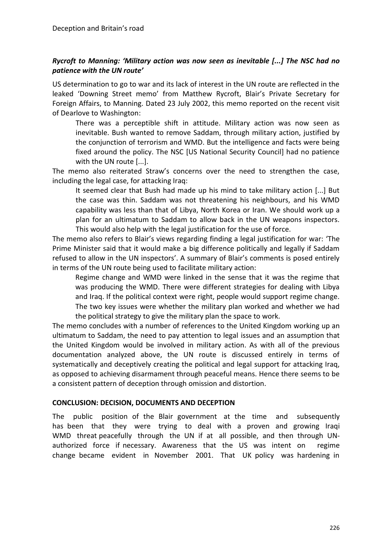# *Rycroft to Manning: 'Military action was now seen as inevitable [...] The NSC had no patience with the UN route'*

US determination to go to war and its lack of interest in the UN route are reflected in the leaked 'Downing Street memo' from Matthew Rycroft, Blair's Private Secretary for Foreign Affairs, to Manning. Dated 23 July 2002, this memo reported on the recent visit of Dearlove to Washington:

There was a perceptible shift in attitude. Military action was now seen as inevitable. Bush wanted to remove Saddam, through military action, justified by the conjunction of terrorism and WMD. But the intelligence and facts were being fixed around the policy. The NSC [US National Security Council] had no patience with the UN route [...].

The memo also reiterated Straw's concerns over the need to strengthen the case, including the legal case, for attacking Iraq:

It seemed clear that Bush had made up his mind to take military action [...] But the case was thin. Saddam was not threatening his neighbours, and his WMD capability was less than that of Libya, North Korea or Iran. We should work up a plan for an ultimatum to Saddam to allow back in the UN weapons inspectors. This would also help with the legal justification for the use of force.

The memo also refers to Blair's views regarding finding a legal justification for war: 'The Prime Minister said that it would make a big difference politically and legally if Saddam refused to allow in the UN inspectors'. A summary of Blair's comments is posed entirely in terms of the UN route being used to facilitate military action:

Regime change and WMD were linked in the sense that it was the regime that was producing the WMD. There were different strategies for dealing with Libya and Iraq. If the political context were right, people would support regime change. The two key issues were whether the military plan worked and whether we had the political strategy to give the military plan the space to work.

The memo concludes with a number of references to the United Kingdom working up an ultimatum to Saddam, the need to pay attention to legal issues and an assumption that the United Kingdom would be involved in military action. As with all of the previous documentation analyzed above, the UN route is discussed entirely in terms of systematically and deceptively creating the political and legal support for attacking Iraq, as opposed to achieving disarmament through peaceful means. Hence there seems to be a consistent pattern of deception through omission and distortion.

# **CONCLUSION: DECISION, DOCUMENTS AND DECEPTION**

The public position of the Blair government at the time and subsequently has been that they were trying to deal with a proven and growing Iraqi WMD threat peacefully through the UN if at all possible, and then through UNauthorized force if necessary. Awareness that the US was intent on regime change became evident in November 2001. That UK policy was hardening in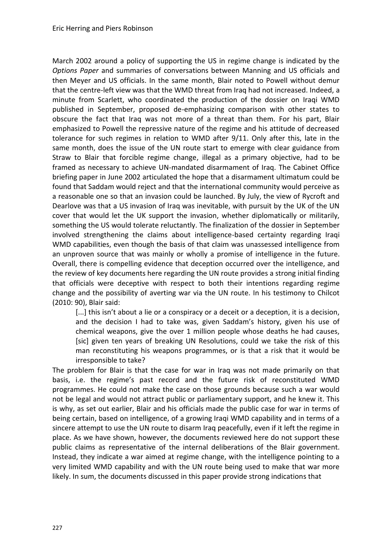March 2002 around a policy of supporting the US in regime change is indicated by the *Options Paper* and summaries of conversations between Manning and US officials and then Meyer and US officials. In the same month, Blair noted to Powell without demur that the centre-left view was that the WMD threat from Iraq had not increased. Indeed, a minute from Scarlett, who coordinated the production of the dossier on Iraqi WMD published in September, proposed de-emphasizing comparison with other states to obscure the fact that Iraq was not more of a threat than them. For his part, Blair emphasized to Powell the repressive nature of the regime and his attitude of decreased tolerance for such regimes in relation to WMD after 9/11. Only after this, late in the same month, does the issue of the UN route start to emerge with clear guidance from Straw to Blair that forcible regime change, illegal as a primary objective, had to be framed as necessary to achieve UN-mandated disarmament of Iraq. The Cabinet Office briefing paper in June 2002 articulated the hope that a disarmament ultimatum could be found that Saddam would reject and that the international community would perceive as a reasonable one so that an invasion could be launched. By July, the view of Rycroft and Dearlove was that a US invasion of Iraq was inevitable, with pursuit by the UK of the UN cover that would let the UK support the invasion, whether diplomatically or militarily, something the US would tolerate reluctantly. The finalization of the dossier in September involved strengthening the claims about intelligence-based certainty regarding Iraqi WMD capabilities, even though the basis of that claim was unassessed intelligence from an unproven source that was mainly or wholly a promise of intelligence in the future. Overall, there is compelling evidence that deception occurred over the intelligence, and the review of key documents here regarding the UN route provides a strong initial finding that officials were deceptive with respect to both their intentions regarding regime change and the possibility of averting war via the UN route. In his testimony to Chilcot (2010: 90), Blair said:

[...] this isn't about a lie or a conspiracy or a deceit or a deception, it is a decision, and the decision I had to take was, given Saddam's history, given his use of chemical weapons, give the over 1 million people whose deaths he had causes, [sic] given ten years of breaking UN Resolutions, could we take the risk of this man reconstituting his weapons programmes, or is that a risk that it would be irresponsible to take?

The problem for Blair is that the case for war in Iraq was not made primarily on that basis, i.e. the regime's past record and the future risk of reconstituted WMD programmes. He could not make the case on those grounds because such a war would not be legal and would not attract public or parliamentary support, and he knew it. This is why, as set out earlier, Blair and his officials made the public case for war in terms of being certain, based on intelligence, of a growing Iraqi WMD capability and in terms of a sincere attempt to use the UN route to disarm Iraq peacefully, even if it left the regime in place. As we have shown, however, the documents reviewed here do not support these public claims as representative of the internal deliberations of the Blair government. Instead, they indicate a war aimed at regime change, with the intelligence pointing to a very limited WMD capability and with the UN route being used to make that war more likely. In sum, the documents discussed in this paper provide strong indications that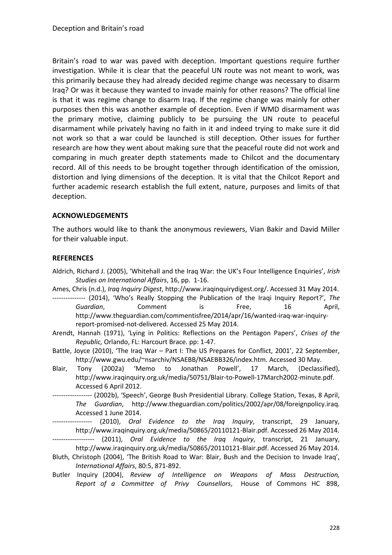Britain's road to war was paved with deception. Important questions require further investigation. While it is clear that the peaceful UN route was not meant to work, was this primarily because they had already decided regime change was necessary to disarm Iraq? Or was it because they wanted to invade mainly for other reasons? The official line is that it was regime change to disarm Iraq. If the regime change was mainly for other purposes then this was another example of deception. Even if WMD disarmament was the primary motive, claiming publicly to be pursuing the UN route to peaceful disarmament while privately having no faith in it and indeed trying to make sure it did not work so that a war could be launched is still deception. Other issues for further research are how they went about making sure that the peaceful route did not work and comparing in much greater depth statements made to Chilcot and the documentary record. All of this needs to be brought together through identification of the omission, distortion and lying dimensions of the deception. It is vital that the Chilcot Report and further academic research establish the full extent, nature, purposes and limits of that deception.

#### **ACKNOWLEDGEMENTS**

The authors would like to thank the anonymous reviewers, Vian Bakir and David Miller for their valuable input.

#### **REFERENCES**

- Aldrich, Richard J. (2005), 'Whitehall and the Iraq War: the UK's Four Intelligence Enquiries', *Irish Studies on International Affairs*, 16, pp. 1-16.
- Ames, Chris (n.d.), *Iraq Inquiry Digest*, http://www.iraqinquirydigest.org/. Accessed 31 May 2014.
- --------------- (2014), 'Who's Really Stopping the Publication of the Iraqi Inquiry Report?', *The Guardian*, Comment is Free, 16 April, http://www.theguardian.com/commentisfree/2014/apr/16/wanted-iraq-war-inquiryreport-promised-not-delivered. Accessed 25 May 2014.
- Arendt, Hannah (1971), 'Lying in Politics: Reflections on the Pentagon Papers', *Crises of the Republic,* Orlando, FL: Harcourt Brace. pp: 1-47.
- Battle, Joyce (2010), 'The Iraq War Part I: The US Prepares for Conflict, 2001', 22 September, http://www.gwu.edu/~nsarchiv/NSAEBB/NSAEBB326/index.htm. Accessed 30 May.
- Blair, Tony (2002a) 'Memo to Jonathan Powell', 17 March, (Declassified), http://www.iraqinquiry.org.uk/media/50751/Blair-to-Powell-17March2002-minute.pdf. Accessed 6 April 2012.
- --------- (2002b), 'Speech', George Bush Presidential Library. College Station, Texas, 8 April, *The Guardian*, http://www.theguardian.com/politics/2002/apr/08/foreignpolicy.iraq. Accessed 1 June 2014.
- ------------------ (2010), *Oral Evidence to the Iraq Inquiry*, transcript, 29 January, http://www.iraqinquiry.org.uk/media/50865/20110121-Blair.pdf. Accessed 26 May 2014.

------------------- (2011), *Oral Evidence to the Iraq Inquiry*, transcript, 21 January, http://www.iraqinquiry.org.uk/media/50865/20110121-Blair.pdf. Accessed 26 May 2014.

- Bluth, Christoph (2004), 'The British Road to War: Blair, Bush and the Decision to Invade Iraq', *International Affairs*, 80:5, 871-892.
- Butler Inquiry (2004), *Review of Intelligence on Weapons of Mass Destruction, Report of a Committee of Privy Counsellors*, House of Commons HC 898,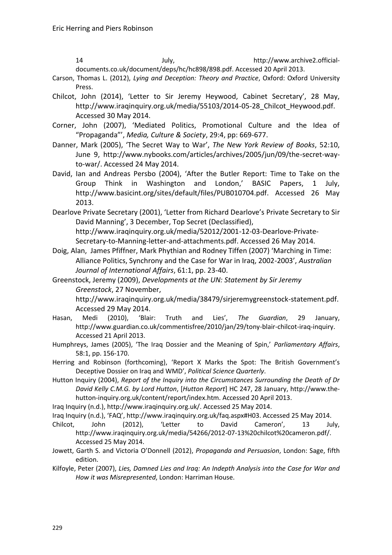14 July, http://www.archive2.officialdocuments.co.uk/document/deps/hc/hc898/898.pdf. Accessed 20 April 2013.

- Carson, Thomas L. (2012), *Lying and Deception: Theory and Practice*, Oxford: Oxford University Press.
- Chilcot, John (2014), 'Letter to Sir Jeremy Heywood, Cabinet Secretary', 28 May, http://www.iraqinquiry.org.uk/media/55103/2014-05-28\_Chilcot\_Heywood.pdf. Accessed 30 May 2014.
- Corner, John (2007), 'Mediated Politics, Promotional Culture and the Idea of "Propaganda"', *Media, Culture & Society*, 29:4, pp: 669-677.
- Danner, Mark (2005), 'The Secret Way to War', *The New York Review of Books*, 52:10, June 9, http://www.nybooks.com/articles/archives/2005/jun/09/the-secret-wayto-war/. Accessed 24 May 2014.
- David, Ian and Andreas Persbo (2004), 'After the Butler Report: Time to Take on the Group Think in Washington and London,' BASIC Papers, 1 July, http://www.basicint.org/sites/default/files/PUB010704.pdf. Accessed 26 May 2013.

Dearlove Private Secretary (2001), 'Letter from Richard Dearlove's Private Secretary to Sir David Manning', 3 December, Top Secret (Declassified), http://www.iraqinquiry.org.uk/media/52012/2001-12-03-Dearlove-Private-

Secretary-to-Manning-letter-and-attachments.pdf. Accessed 26 May 2014.

- Doig, Alan, James Pfiffner, Mark Phythian and Rodney Tiffen (2007) 'Marching in Time: Alliance Politics, Synchrony and the Case for War in Iraq, 2002-2003', *Australian Journal of International Affairs*, 61:1, pp. 23-40.
- Greenstock, Jeremy (2009), *Developments at the UN: Statement by Sir Jeremy Greenstock*, 27 November,

http://www.iraqinquiry.org.uk/media/38479/sirjeremygreenstock-statement.pdf. Accessed 29 May 2014.

- Hasan, Medi (2010), 'Blair: Truth and Lies', *The Guardian*, 29 January, http://www.guardian.co.uk/commentisfree/2010/jan/29/tony-blair-chilcot-iraq-inquiry. Accessed 21 April 2013.
- Humphreys, James (2005), 'The Iraq Dossier and the Meaning of Spin,' *Parliamentary Affairs*, 58:1, pp. 156-170.
- Herring and Robinson (forthcoming), 'Report X Marks the Spot: The British Government's Deceptive Dossier on Iraq and WMD', *Political Science Quarterly*.
- Hutton Inquiry (2004), *Report of the Inquiry into the Circumstances Surrounding the Death of Dr David Kelly C.M.G. by Lord Hutton*, [*Hutton Report*] HC 247, 28 January, http://www.thehutton-inquiry.org.uk/content/report/index.htm. Accessed 20 April 2013.

Iraq Inquiry (n.d.), http://www.iraqinquiry.org.uk/. Accessed 25 May 2014.

Iraq Inquiry (n.d.), 'FAQ', http://www.iraqinquiry.org.uk/faq.aspx#H03. Accessed 25 May 2014. Chilcot, John (2012), 'Letter to David Cameron', 13 July, http://www.iraqinquiry.org.uk/media/54266/2012-07-13%20chilcot%20cameron.pdf/. Accessed 25 May 2014.

Jowett, Garth S. and Victoria O'Donnell (2012), *Propaganda and Persuasion*, London: Sage, fifth edition.

Kilfoyle, Peter (2007), *Lies, Damned Lies and Iraq: An Indepth Analysis into the Case for War and How it was Misrepresented*, London: Harriman House.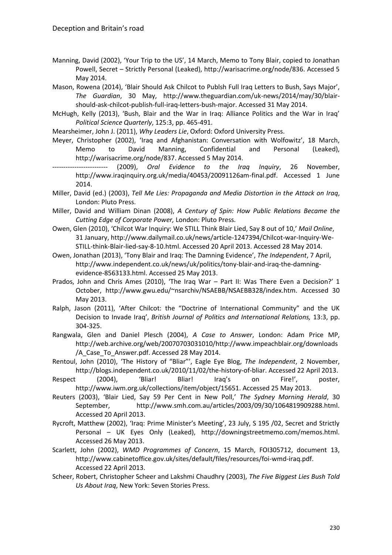- Manning, David (2002), 'Your Trip to the US', 14 March, Memo to Tony Blair, copied to Jonathan Powell, Secret – Strictly Personal (Leaked), http://warisacrime.org/node/836. Accessed 5 May 2014.
- Mason, Rowena (2014), 'Blair Should Ask Chilcot to Publsh Full Iraq Letters to Bush, Says Major', *The Guardian*, 30 May, http://www.theguardian.com/uk-news/2014/may/30/blairshould-ask-chilcot-publish-full-iraq-letters-bush-major. Accessed 31 May 2014.
- McHugh, Kelly (2013), 'Bush, Blair and the War in Iraq: Alliance Politics and the War in Iraq' *Political Science Quarterly*, 125:3, pp. 465-491.
- Mearsheimer, John J. (2011), *Why Leaders Lie*, Oxford: Oxford University Press.
- Meyer, Christopher (2002), 'Iraq and Afghanistan: Conversation with Wolfowitz', 18 March, Memo to David Manning, Confidential and Personal (Leaked), http://warisacrime.org/node/837. Accessed 5 May 2014.
	- (2009), Oral Evidence to the Iraq Inquiry, 26 November, http://www.iraqinquiry.org.uk/media/40453/20091126am-final.pdf. Accessed 1 June 2014.
- Miller, David (ed.) (2003), *Tell Me Lies: Propaganda and Media Distortion in the Attack on Iraq*, London: Pluto Press.
- Miller, David and William Dinan (2008), *A Century of Spin: How Public Relations Became the Cutting Edge of Corporate Power,* London: Pluto Press.
- Owen, Glen (2010), 'Chilcot War Inquiry: We STILL Think Blair Lied, Say 8 out of 10,' *Mail Online*, 31 January, http://www.dailymail.co.uk/news/article-1247394/Chilcot-war-Inquiry-We-STILL-think-Blair-lied-say-8-10.html. Accessed 20 April 2013. Accessed 28 May 2014.
- Owen, Jonathan (2013), 'Tony Blair and Iraq: The Damning Evidence', *The Independent*, 7 April, http://www.independent.co.uk/news/uk/politics/tony-blair-and-iraq-the-damningevidence-8563133.html. Accessed 25 May 2013.
- Prados, John and Chris Ames (2010), 'The Iraq War Part II: Was There Even a Decision?' 1 October, http://www.gwu.edu/~nsarchiv/NSAEBB/NSAEBB328/index.htm. Accessed 30 May 2013.
- Ralph, Jason (2011), 'After Chilcot: the "Doctrine of International Community" and the UK Decision to Invade Iraq', *British Journal of Politics and International Relations,* 13:3, pp. 304-325.
- Rangwala, Glen and Daniel Plesch (2004), *A Case to Answer*, London: Adam Price MP, http://web.archive.org/web/20070703031010/http://www.impeachblair.org/downloads /A\_Case\_To\_Answer.pdf. Accessed 28 May 2014.
- Rentoul, John (2010), 'The History of "Bliar"', Eagle Eye Blog, *The Independent*, 2 November, http://blogs.independent.co.uk/2010/11/02/the-history-of-bliar. Accessed 22 April 2013.
- Respect (2004), 'Bliar! Bliar! Iraq's on Fire!', poster, http://www.iwm.org.uk/collections/item/object/15651. Accessed 25 May 2013.
- Reuters (2003), 'Blair Lied, Say 59 Per Cent in New Poll,' *The Sydney Morning Herald*, 30 September, http://www.smh.com.au/articles/2003/09/30/1064819909288.html. Accessed 20 April 2013.
- Rycroft, Matthew (2002), 'Iraq: Prime Minister's Meeting', 23 July, S 195 /02, Secret and Strictly Personal – UK Eyes Only (Leaked), http://downingstreetmemo.com/memos.html. Accessed 26 May 2013.
- Scarlett, John (2002), *WMD Programmes of Concern*, 15 March, FOI305712, document 13, http://www.cabinetoffice.gov.uk/sites/default/files/resources/foi-wmd-iraq.pdf. Accessed 22 April 2013.
- Scheer, Robert, Christopher Scheer and Lakshmi Chaudhry (2003), *The Five Biggest Lies Bush Told Us About Iraq*, New York: Seven Stories Press.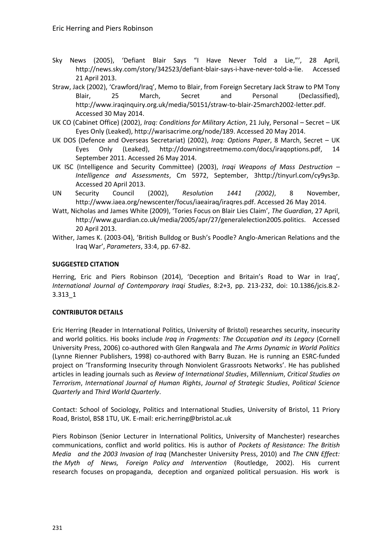- Sky News (2005), 'Defiant Blair Says "I Have Never Told a Lie,"', 28 April, http://news.sky.com/story/342523/defiant-blair-says-i-have-never-told-a-lie. Accessed 21 April 2013.
- Straw, Jack (2002), 'Crawford/Iraq', Memo to Blair, from Foreign Secretary Jack Straw to PM Tony Blair, 25 March, Secret and Personal (Declassified), http://www.iraqinquiry.org.uk/media/50151/straw-to-blair-25march2002-letter.pdf. Accessed 30 May 2014.
- UK CO (Cabinet Office) (2002), *Iraq: Conditions for Military Action*, 21 July, Personal Secret UK Eyes Only (Leaked), http://warisacrime.org/node/189. Accessed 20 May 2014.
- UK DOS (Defence and Overseas Secretariat) (2002), *Iraq: Options Paper*, 8 March, Secret UK Eyes Only (Leaked), http://downingstreetmemo.com/docs/iraqoptions.pdf, 14 September 2011. Accessed 26 May 2014.
- UK ISC (Intelligence and Security Committee) (2003), *Iraqi Weapons of Mass Destruction – Intelligence and Assessments*, Cm 5972, September, 3http://tinyurl.com/cy9ys3p. Accessed 20 April 2013.
- UN Security Council (2002), *Resolution 1441 (2002)*, 8 November, http://www.iaea.org/newscenter/focus/iaeairaq/iraqres.pdf. Accessed 26 May 2014.
- Watt, Nicholas and James White (2009), 'Tories Focus on Blair Lies Claim', *The Guardian*, 27 April, http://www.guardian.co.uk/media/2005/apr/27/generalelection2005.politics. Accessed 20 April 2013.
- Wither, James K. (2003-04), 'British Bulldog or Bush's Poodle? Anglo-American Relations and the Iraq War', *Parameters*, 33:4, pp. 67-82.

#### **SUGGESTED CITATION**

Herring, Eric and Piers Robinson (2014), 'Deception and Britain's Road to War in Iraq', *International Journal of Contemporary Iraqi Studies*, 8:2+3, pp. 213-232, doi: 10.1386/jcis.8.2- 3.313\_1

#### **CONTRIBUTOR DETAILS**

Eric Herring (Reader in International Politics, University of Bristol) researches security, insecurity and world politics. His books include *Iraq in Fragments: The Occupation and its Legacy* (Cornell University Press, 2006) co-authored with Glen Rangwala and *The Arms Dynamic in World Politics* (Lynne Rienner Publishers, 1998) co-authored with Barry Buzan. He is running an ESRC-funded project on 'Transforming Insecurity through Nonviolent Grassroots Networks'. He has published articles in leading journals such as *Review of International Studies*, *Millennium*, *Critical Studies on Terrorism*, *International Journal of Human Rights*, *Journal of Strategic Studies*, *Political Science Quarterly* and *Third World Quarterly*.

Contact: School of Sociology, Politics and International Studies, University of Bristol, 11 Priory Road, Bristol, BS8 1TU, UK. E-mail: eric.herring@bristol.ac.uk

Piers Robinson (Senior Lecturer in International Politics, University of Manchester) researches communications, conflict and world politics. His is author of *Pockets of Resistance: The British Media and the 2003 Invasion of Iraq* (Manchester University Press, 2010) and *The CNN Effect: the Myth of News, Foreign Policy and Intervention* (Routledge, 2002). His current research focuses on propaganda, deception and organized political persuasion. His work is